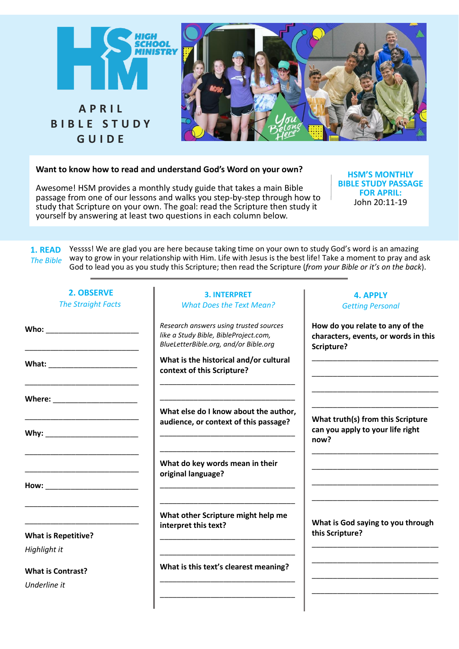

# **Want to know how to read and understand God's Word on your own?**

Awesome! HSM provides a monthly study guide that takes a main Bible passage from one of our lessons and walks you step-by-step through how to study that Scripture on your own. The goal: read the Scripture then study it yourself by answering at least two questions in each column below.

**HSM'S MONTHLY BIBLE STUDY PASSAGE FOR APRIL:** John 20:11-19

**1. READ** Yessss! We are glad you are here because taking time on your own to study God's word is an amazing way to grow in your relationship with Him. Life with Jesus is the best life! Take a moment to pray and ask God to lead you as you study this Scripture; then read the Scripture (*from your Bible or it's on the back*). *The Bible*

| <b>2. OBSERVE</b><br><b>The Straight Facts</b> | <b>3. INTERPRET</b><br><b>What Does the Text Mean?</b>                                                                   | <b>4. APPLY</b><br><b>Getting Personal</b>                                            |
|------------------------------------------------|--------------------------------------------------------------------------------------------------------------------------|---------------------------------------------------------------------------------------|
| Who: __________________________                | Research answers using trusted sources<br>like a Study Bible, BibleProject.com,<br>BlueLetterBible.org, and/or Bible.org | How do you relate to any of the<br>characters, events, or words in this<br>Scripture? |
| What: _________________________                | What is the historical and/or cultural<br>context of this Scripture?                                                     |                                                                                       |
| Where: ______________________                  | What else do I know about the author,                                                                                    |                                                                                       |
| Why: _________________________                 | audience, or context of this passage?                                                                                    | What truth(s) from this Scripture<br>can you apply to your life right<br>now?         |
|                                                | What do key words mean in their<br>original language?                                                                    |                                                                                       |
| How: __________________________                |                                                                                                                          |                                                                                       |
|                                                | What other Scripture might help me<br>interpret this text?                                                               | What is God saying to you through                                                     |
| <b>What is Repetitive?</b><br>Highlight it     |                                                                                                                          | this Scripture?                                                                       |
| <b>What is Contrast?</b>                       | What is this text's clearest meaning?                                                                                    |                                                                                       |
| Underline it                                   |                                                                                                                          |                                                                                       |